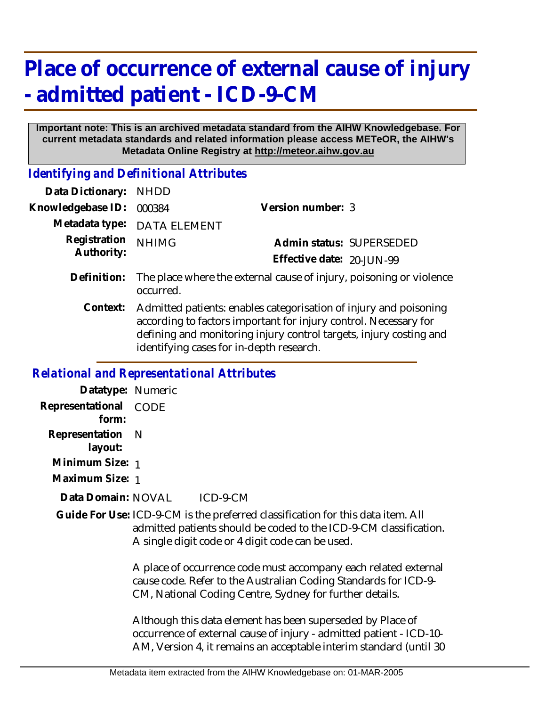## **Place of occurrence of external cause of injury - admitted patient - ICD-9-CM**

## **Important note: This is an archived metadata standard from the AIHW Knowledgebase. For current metadata standards and related information please access METeOR, the AIHW's Metadata Online Registry at http://meteor.aihw.gov.au**

*Identifying and Definitional Attributes*

| <b>NHDD</b>                                                                                                                                                                                                                                             |                                                                     |
|---------------------------------------------------------------------------------------------------------------------------------------------------------------------------------------------------------------------------------------------------------|---------------------------------------------------------------------|
| 000384                                                                                                                                                                                                                                                  | Version number: 3                                                   |
| <b>DATA ELEMENT</b>                                                                                                                                                                                                                                     |                                                                     |
| <b>NHIMG</b>                                                                                                                                                                                                                                            | Admin status: SUPERSEDED                                            |
|                                                                                                                                                                                                                                                         | Effective date: 20-JUN-99                                           |
| occurred.                                                                                                                                                                                                                                               | The place where the external cause of injury, poisoning or violence |
| Admitted patients: enables categorisation of injury and poisoning<br>according to factors important for injury control. Necessary for<br>defining and monitoring injury control targets, injury costing and<br>identifying cases for in-depth research. |                                                                     |
|                                                                                                                                                                                                                                                         |                                                                     |

## *Relational and Representational Attributes*

| Datatype: Numeric           |                                                                                                                                                                                                          |
|-----------------------------|----------------------------------------------------------------------------------------------------------------------------------------------------------------------------------------------------------|
| Representational<br>form:   | CODE                                                                                                                                                                                                     |
| Representation N<br>layout: |                                                                                                                                                                                                          |
| Minimum Size: 1             |                                                                                                                                                                                                          |
| Maximum Size: 1             |                                                                                                                                                                                                          |
| Data Domain: NOVAL          | $ICD-9-CM$                                                                                                                                                                                               |
|                             | Guide For Use: ICD-9-CM is the preferred classification for this data item. All<br>admitted patients should be coded to the ICD-9-CM classification.<br>A single digit code or 4 digit code can be used. |
|                             | A place of occurrence code must accompany each related external<br>cause code. Refer to the Australian Coding Standards for ICD-9-<br>CM, National Coding Centre, Sydney for further details.            |
|                             | Although this data element has been superseded by Place of<br>occurrence of external cause of injury - admitted patient - ICD-10-<br>AM, Version 4, it remains an acceptable interim standard (until 30  |